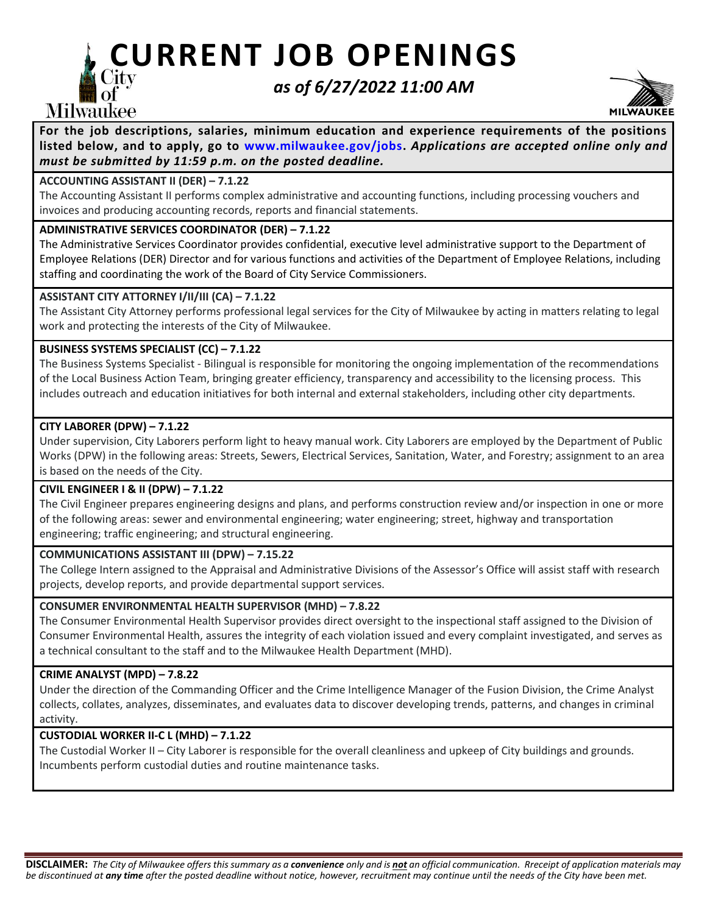# **, CURRENT JOB OPENINGS**

## *as of 6/27/2022 11:00 AM*



For the job descriptions, salaries, minimum education and experience requirements of the positions  $\ddot{a}$ **listed below, and to apply, go to [www.milwaukee.gov/jobs.](http://www.milwaukee.gov/jobs)** *Applications are accepted online only and must be submitted by 11:59 p.m. on the posted deadline.*

## **ACCOUNTING ASSISTANT II (DER) – 7.1.22**

**Milwaukee** 

The Accounting Assistant II performs complex administrative and accounting functions, including processing vouchers and invoices and producing accounting records, reports and financial statements.

## **ADMINISTRATIVE SERVICES COORDINATOR (DER) – 7.1.22**

The Administrative Services Coordinator provides confidential, executive level administrative support to the Department of Employee Relations (DER) Director and for various functions and activities of the Department of Employee Relations, including staffing and coordinating the work of the Board of City Service Commissioners.

## **ASSISTANT CITY ATTORNEY I/II/III (CA) – 7.1.22**

The Assistant City Attorney performs professional legal services for the City of Milwaukee by acting in matters relating to legal work and protecting the interests of the City of Milwaukee.

## **BUSINESS SYSTEMS SPECIALIST (CC) – 7.1.22**

The Business Systems Specialist - Bilingual is responsible for monitoring the ongoing implementation of the recommendations of the Local Business Action Team, bringing greater efficiency, transparency and accessibility to the licensing process. This includes outreach and education initiatives for both internal and external stakeholders, including other city departments.

## **CITY LABORER (DPW) – 7.1.22**

Under supervision, City Laborers perform light to heavy manual work. City Laborers are employed by the Department of Public Works (DPW) in the following areas: Streets, Sewers, Electrical Services, Sanitation, Water, and Forestry; assignment to an area is based on the needs of the City.

## **CIVIL ENGINEER I & II (DPW) – 7.1.22**

The Civil Engineer prepares engineering designs and plans, and performs construction review and/or inspection in one or more of the following areas: sewer and environmental engineering; water engineering; street, highway and transportation engineering; traffic engineering; and structural engineering.

## **COMMUNICATIONS ASSISTANT III (DPW) – 7.15.22**

The College Intern assigned to the Appraisal and Administrative Divisions of the Assessor's Office will assist staff with research projects, develop reports, and provide departmental support services.

## **CONSUMER ENVIRONMENTAL HEALTH SUPERVISOR (MHD) – 7.8.22**

The Consumer Environmental Health Supervisor provides direct oversight to the inspectional staff assigned to the Division of Consumer Environmental Health, assures the integrity of each violation issued and every complaint investigated, and serves as a technical consultant to the staff and to the Milwaukee Health Department (MHD).

## **CRIME ANALYST (MPD) – 7.8.22**

Under the direction of the Commanding Officer and the Crime Intelligence Manager of the Fusion Division, the Crime Analyst collects, collates, analyzes, disseminates, and evaluates data to discover developing trends, patterns, and changes in criminal activity.

## **CUSTODIAL WORKER II-C L (MHD) – 7.1.22**

The Custodial Worker II – City Laborer is responsible for the overall cleanliness and upkeep of City buildings and grounds. Incumbents perform custodial duties and routine maintenance tasks.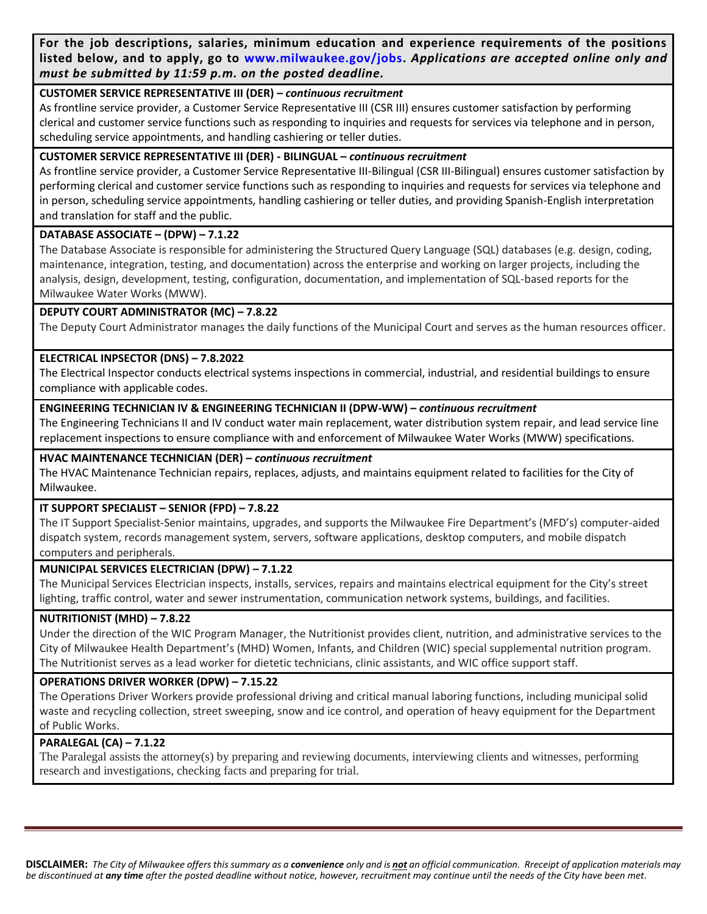**For the job descriptions, salaries, minimum education and experience requirements of the positions listed below, and to apply, go to [www.milwaukee.gov/jobs.](http://www.milwaukee.gov/jobs)** *Applications are accepted online only and must be submitted by 11:59 p.m. on the posted deadline.*

#### **CUSTOMER SERVICE REPRESENTATIVE III (DER) –** *continuous recruitment*

As frontline service provider, a Customer Service Representative III (CSR III) ensures customer satisfaction by performing clerical and customer service functions such as responding to inquiries and requests for services via telephone and in person, scheduling service appointments, and handling cashiering or teller duties.

## **CUSTOMER SERVICE REPRESENTATIVE III (DER) - BILINGUAL –** *continuous recruitment*

As frontline service provider, a Customer Service Representative III-Bilingual (CSR III-Bilingual) ensures customer satisfaction by performing clerical and customer service functions such as responding to inquiries and requests for services via telephone and in person, scheduling service appointments, handling cashiering or teller duties, and providing Spanish-English interpretation and translation for staff and the public.

## **DATABASE ASSOCIATE – (DPW) – 7.1.22**

The Database Associate is responsible for administering the Structured Query Language (SQL) databases (e.g. design, coding, maintenance, integration, testing, and documentation) across the enterprise and working on larger projects, including the analysis, design, development, testing, configuration, documentation, and implementation of SQL-based reports for the Milwaukee Water Works (MWW).

## **DEPUTY COURT ADMINISTRATOR (MC) – 7.8.22**

The Deputy Court Administrator manages the daily functions of the Municipal Court and serves as the human resources officer.

## **ELECTRICAL INPSECTOR (DNS) – 7.8.2022**

The Electrical Inspector conducts electrical systems inspections in commercial, industrial, and residential buildings to ensure compliance with applicable codes.

#### **ENGINEERING TECHNICIAN IV & ENGINEERING TECHNICIAN II (DPW-WW) –** *continuous recruitment*

The Engineering Technicians II and IV conduct water main replacement, water distribution system repair, and lead service line replacement inspections to ensure compliance with and enforcement of Milwaukee Water Works (MWW) specifications.

#### **HVAC MAINTENANCE TECHNICIAN (DER) –** *continuous recruitment*

The HVAC Maintenance Technician repairs, replaces, adjusts, and maintains equipment related to facilities for the City of Milwaukee.

## **IT SUPPORT SPECIALIST – SENIOR (FPD) – 7.8.22**

The IT Support Specialist-Senior maintains, upgrades, and supports the Milwaukee Fire Department's (MFD's) computer-aided dispatch system, records management system, servers, software applications, desktop computers, and mobile dispatch computers and peripherals.

## **MUNICIPAL SERVICES ELECTRICIAN (DPW) – 7.1.22**

The Municipal Services Electrician inspects, installs, services, repairs and maintains electrical equipment for the City's street lighting, traffic control, water and sewer instrumentation, communication network systems, buildings, and facilities.

#### **NUTRITIONIST (MHD) – 7.8.22**

Under the direction of the WIC Program Manager, the Nutritionist provides client, nutrition, and administrative services to the City of Milwaukee Health Department's (MHD) Women, Infants, and Children (WIC) special supplemental nutrition program. The Nutritionist serves as a lead worker for dietetic technicians, clinic assistants, and WIC office support staff.

## **OPERATIONS DRIVER WORKER (DPW) – 7.15.22**

The Operations Driver Workers provide professional driving and critical manual laboring functions, including municipal solid waste and recycling collection, street sweeping, snow and ice control, and operation of heavy equipment for the Department of Public Works.

## **PARALEGAL (CA) – 7.1.22**

The Paralegal assists the attorney(s) by preparing and reviewing documents, interviewing clients and witnesses, performing research and investigations, checking facts and preparing for trial.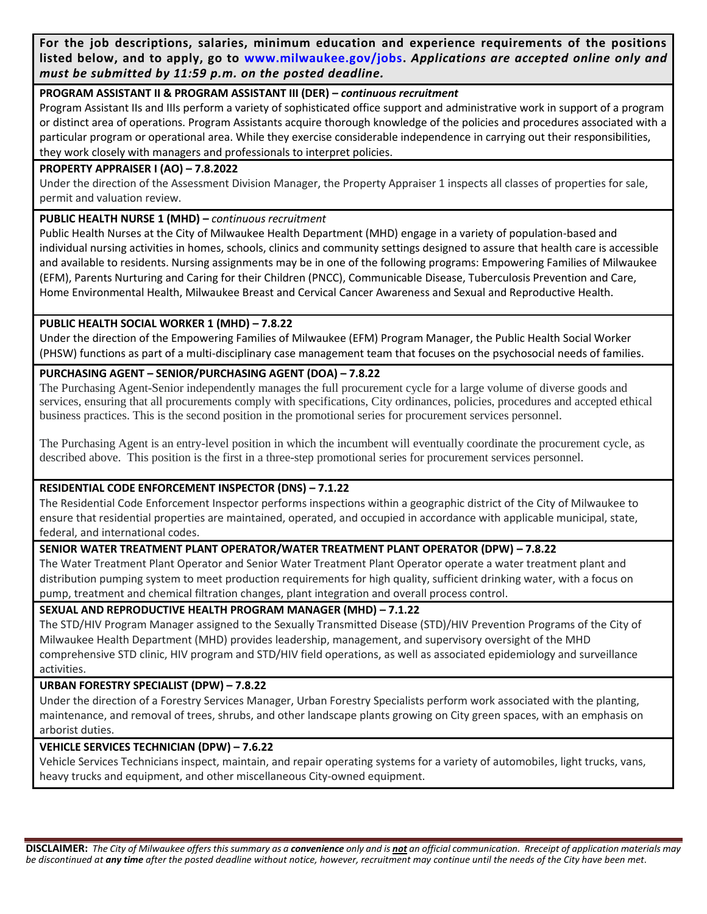**For the job descriptions, salaries, minimum education and experience requirements of the positions listed below, and to apply, go to [www.milwaukee.gov/jobs.](http://www.milwaukee.gov/jobs)** *Applications are accepted online only and must be submitted by 11:59 p.m. on the posted deadline.*

## **PROGRAM ASSISTANT II & PROGRAM ASSISTANT III (DER) –** *continuous recruitment*

Program Assistant IIs and IIIs perform a variety of sophisticated office support and administrative work in support of a program or distinct area of operations. Program Assistants acquire thorough knowledge of the policies and procedures associated with a particular program or operational area. While they exercise considerable independence in carrying out their responsibilities, they work closely with managers and professionals to interpret policies.

## **PROPERTY APPRAISER I (AO) – 7.8.2022**

Under the direction of the Assessment Division Manager, the Property Appraiser 1 inspects all classes of properties for sale, permit and valuation review.

## **PUBLIC HEALTH NURSE 1 (MHD) –** *continuous recruitment*

Public Health Nurses at the City of Milwaukee Health Department (MHD) engage in a variety of population-based and individual nursing activities in homes, schools, clinics and community settings designed to assure that health care is accessible and available to residents. Nursing assignments may be in one of the following programs: Empowering Families of Milwaukee (EFM), Parents Nurturing and Caring for their Children (PNCC), Communicable Disease, Tuberculosis Prevention and Care, Home Environmental Health, Milwaukee Breast and Cervical Cancer Awareness and Sexual and Reproductive Health.

## **PUBLIC HEALTH SOCIAL WORKER 1 (MHD) – 7.8.22**

Under the direction of the Empowering Families of Milwaukee (EFM) Program Manager, the Public Health Social Worker (PHSW) functions as part of a multi-disciplinary case management team that focuses on the psychosocial needs of families.

## **PURCHASING AGENT – SENIOR/PURCHASING AGENT (DOA) – 7.8.22**

The Purchasing Agent-Senior independently manages the full procurement cycle for a large volume of diverse goods and services, ensuring that all procurements comply with specifications, City ordinances, policies, procedures and accepted ethical business practices. This is the second position in the promotional series for procurement services personnel.

The Purchasing Agent is an entry-level position in which the incumbent will eventually coordinate the procurement cycle, as described above. This position is the first in a three-step promotional series for procurement services personnel.

## **RESIDENTIAL CODE ENFORCEMENT INSPECTOR (DNS) – 7.1.22**

The Residential Code Enforcement Inspector performs inspections within a geographic district of the City of Milwaukee to ensure that residential properties are maintained, operated, and occupied in accordance with applicable municipal, state, federal, and international codes.

## **SENIOR WATER TREATMENT PLANT OPERATOR/WATER TREATMENT PLANT OPERATOR (DPW) – 7.8.22**

The Water Treatment Plant Operator and Senior Water Treatment Plant Operator operate a water treatment plant and distribution pumping system to meet production requirements for high quality, sufficient drinking water, with a focus on pump, treatment and chemical filtration changes, plant integration and overall process control.

## **SEXUAL AND REPRODUCTIVE HEALTH PROGRAM MANAGER (MHD) – 7.1.22**

The STD/HIV Program Manager assigned to the Sexually Transmitted Disease (STD)/HIV Prevention Programs of the City of Milwaukee Health Department (MHD) provides leadership, management, and supervisory oversight of the MHD comprehensive STD clinic, HIV program and STD/HIV field operations, as well as associated epidemiology and surveillance activities.

## **URBAN FORESTRY SPECIALIST (DPW) – 7.8.22**

Under the direction of a Forestry Services Manager, Urban Forestry Specialists perform work associated with the planting, maintenance, and removal of trees, shrubs, and other landscape plants growing on City green spaces, with an emphasis on arborist duties.

## **VEHICLE SERVICES TECHNICIAN (DPW) – 7.6.22**

Vehicle Services Technicians inspect, maintain, and repair operating systems for a variety of automobiles, light trucks, vans, heavy trucks and equipment, and other miscellaneous City-owned equipment.

**DISCLAIMER:** *The City of Milwaukee offers this summary as a convenience only and is not an official communication. Rreceipt of application materials may be discontinued at any time after the posted deadline without notice, however, recruitment may continue until the needs of the City have been met.*